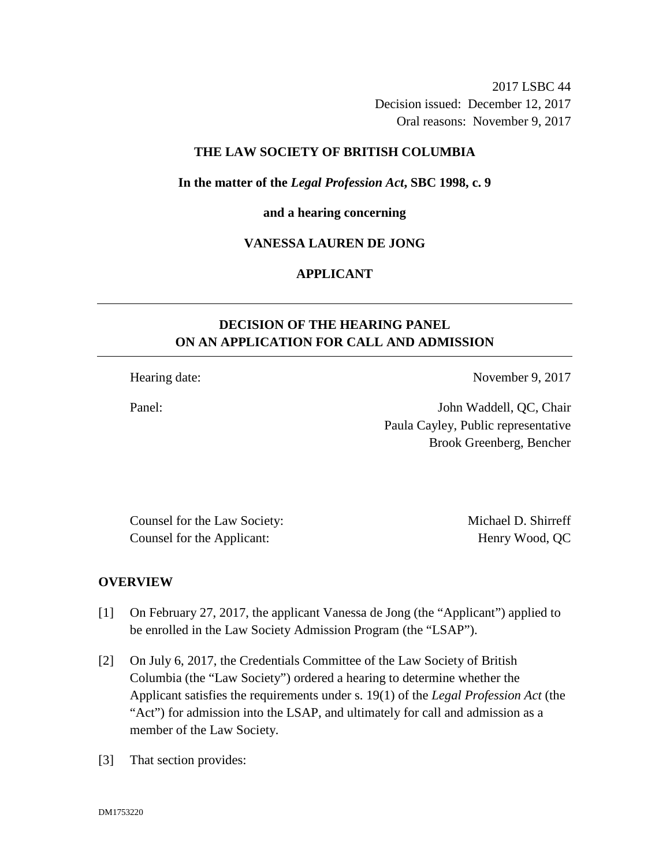2017 LSBC 44 Decision issued: December 12, 2017 Oral reasons: November 9, 2017

### **THE LAW SOCIETY OF BRITISH COLUMBIA**

### **In the matter of the** *Legal Profession Act***, SBC 1998, c. 9**

#### **and a hearing concerning**

### **VANESSA LAUREN DE JONG**

# **APPLICANT**

# **DECISION OF THE HEARING PANEL ON AN APPLICATION FOR CALL AND ADMISSION**

Hearing date: November 9, 2017

Panel: John Waddell, QC, Chair Paula Cayley, Public representative Brook Greenberg, Bencher

Counsel for the Law Society: Michael D. Shirreff Counsel for the Applicant: Henry Wood, QC

### **OVERVIEW**

- [1] On February 27, 2017, the applicant Vanessa de Jong (the "Applicant") applied to be enrolled in the Law Society Admission Program (the "LSAP").
- [2] On July 6, 2017, the Credentials Committee of the Law Society of British Columbia (the "Law Society") ordered a hearing to determine whether the Applicant satisfies the requirements under s. 19(1) of the *Legal Profession Act* (the "Act") for admission into the LSAP, and ultimately for call and admission as a member of the Law Society*.*
- [3] That section provides: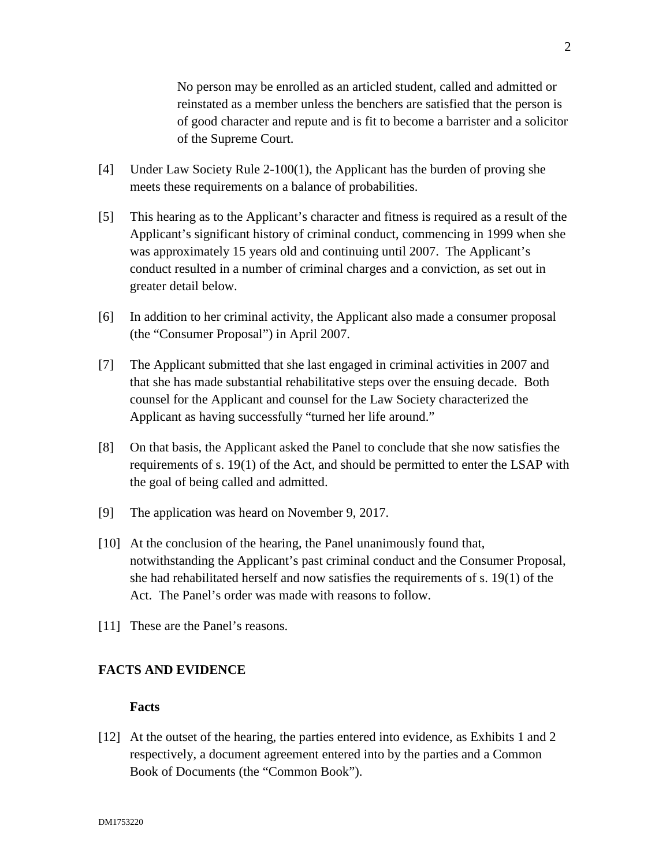No person may be enrolled as an articled student, called and admitted or reinstated as a member unless the benchers are satisfied that the person is of good character and repute and is fit to become a barrister and a solicitor of the Supreme Court.

- [4] Under Law Society Rule 2-100(1), the Applicant has the burden of proving she meets these requirements on a balance of probabilities.
- [5] This hearing as to the Applicant's character and fitness is required as a result of the Applicant's significant history of criminal conduct, commencing in 1999 when she was approximately 15 years old and continuing until 2007. The Applicant's conduct resulted in a number of criminal charges and a conviction, as set out in greater detail below.
- [6] In addition to her criminal activity, the Applicant also made a consumer proposal (the "Consumer Proposal") in April 2007.
- [7] The Applicant submitted that she last engaged in criminal activities in 2007 and that she has made substantial rehabilitative steps over the ensuing decade. Both counsel for the Applicant and counsel for the Law Society characterized the Applicant as having successfully "turned her life around."
- [8] On that basis, the Applicant asked the Panel to conclude that she now satisfies the requirements of s. 19(1) of the Act, and should be permitted to enter the LSAP with the goal of being called and admitted.
- [9] The application was heard on November 9, 2017.
- [10] At the conclusion of the hearing, the Panel unanimously found that, notwithstanding the Applicant's past criminal conduct and the Consumer Proposal, she had rehabilitated herself and now satisfies the requirements of s. 19(1) of the Act. The Panel's order was made with reasons to follow.
- [11] These are the Panel's reasons.

# **FACTS AND EVIDENCE**

### **Facts**

[12] At the outset of the hearing, the parties entered into evidence, as Exhibits 1 and 2 respectively, a document agreement entered into by the parties and a Common Book of Documents (the "Common Book").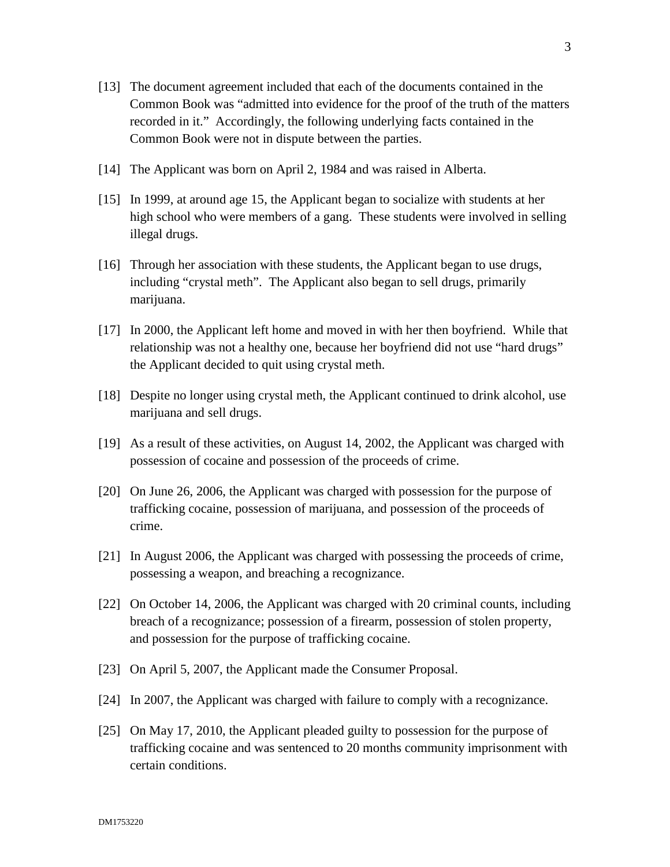- [13] The document agreement included that each of the documents contained in the Common Book was "admitted into evidence for the proof of the truth of the matters recorded in it." Accordingly, the following underlying facts contained in the Common Book were not in dispute between the parties.
- [14] The Applicant was born on April 2, 1984 and was raised in Alberta.
- [15] In 1999, at around age 15, the Applicant began to socialize with students at her high school who were members of a gang. These students were involved in selling illegal drugs.
- [16] Through her association with these students, the Applicant began to use drugs, including "crystal meth". The Applicant also began to sell drugs, primarily marijuana.
- [17] In 2000, the Applicant left home and moved in with her then boyfriend. While that relationship was not a healthy one, because her boyfriend did not use "hard drugs" the Applicant decided to quit using crystal meth.
- [18] Despite no longer using crystal meth, the Applicant continued to drink alcohol, use marijuana and sell drugs.
- [19] As a result of these activities, on August 14, 2002, the Applicant was charged with possession of cocaine and possession of the proceeds of crime.
- [20] On June 26, 2006, the Applicant was charged with possession for the purpose of trafficking cocaine, possession of marijuana, and possession of the proceeds of crime.
- [21] In August 2006, the Applicant was charged with possessing the proceeds of crime, possessing a weapon, and breaching a recognizance.
- [22] On October 14, 2006, the Applicant was charged with 20 criminal counts, including breach of a recognizance; possession of a firearm, possession of stolen property, and possession for the purpose of trafficking cocaine.
- [23] On April 5, 2007, the Applicant made the Consumer Proposal.
- [24] In 2007, the Applicant was charged with failure to comply with a recognizance.
- [25] On May 17, 2010, the Applicant pleaded guilty to possession for the purpose of trafficking cocaine and was sentenced to 20 months community imprisonment with certain conditions.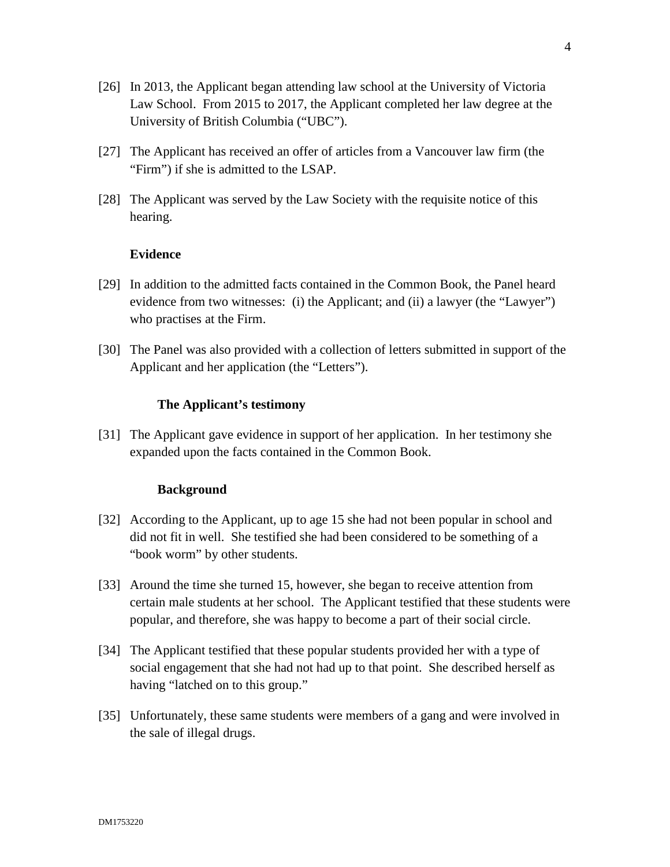- [26] In 2013, the Applicant began attending law school at the University of Victoria Law School. From 2015 to 2017, the Applicant completed her law degree at the University of British Columbia ("UBC").
- [27] The Applicant has received an offer of articles from a Vancouver law firm (the "Firm") if she is admitted to the LSAP.
- [28] The Applicant was served by the Law Society with the requisite notice of this hearing.

### **Evidence**

- [29] In addition to the admitted facts contained in the Common Book, the Panel heard evidence from two witnesses: (i) the Applicant; and (ii) a lawyer (the "Lawyer") who practises at the Firm.
- [30] The Panel was also provided with a collection of letters submitted in support of the Applicant and her application (the "Letters").

#### **The Applicant's testimony**

[31] The Applicant gave evidence in support of her application. In her testimony she expanded upon the facts contained in the Common Book.

#### **Background**

- [32] According to the Applicant, up to age 15 she had not been popular in school and did not fit in well. She testified she had been considered to be something of a "book worm" by other students.
- [33] Around the time she turned 15, however, she began to receive attention from certain male students at her school. The Applicant testified that these students were popular, and therefore, she was happy to become a part of their social circle.
- [34] The Applicant testified that these popular students provided her with a type of social engagement that she had not had up to that point. She described herself as having "latched on to this group."
- [35] Unfortunately, these same students were members of a gang and were involved in the sale of illegal drugs.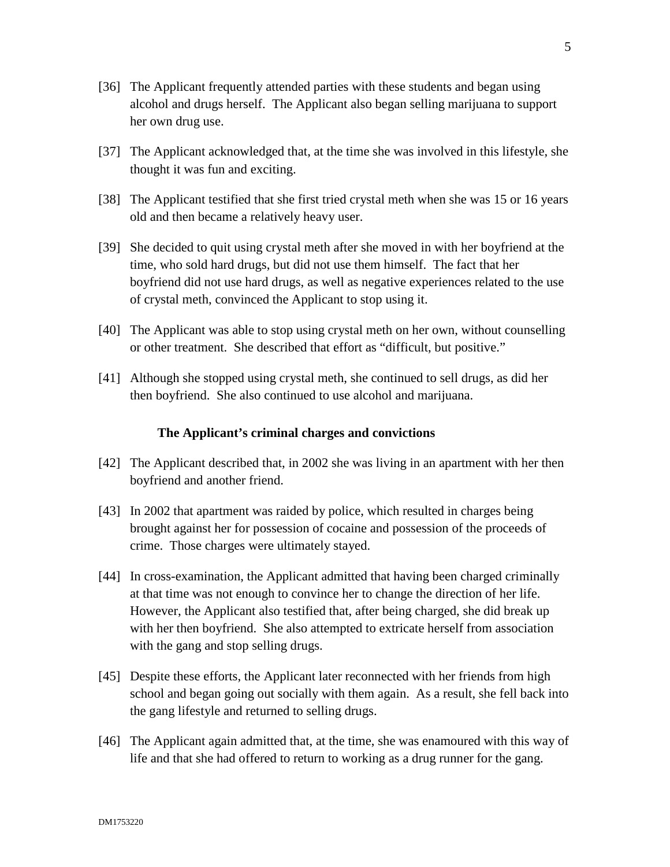- [37] The Applicant acknowledged that, at the time she was involved in this lifestyle, she thought it was fun and exciting.
- [38] The Applicant testified that she first tried crystal meth when she was 15 or 16 years old and then became a relatively heavy user.
- [39] She decided to quit using crystal meth after she moved in with her boyfriend at the time, who sold hard drugs, but did not use them himself. The fact that her boyfriend did not use hard drugs, as well as negative experiences related to the use of crystal meth, convinced the Applicant to stop using it.
- [40] The Applicant was able to stop using crystal meth on her own, without counselling or other treatment. She described that effort as "difficult, but positive."
- [41] Although she stopped using crystal meth, she continued to sell drugs, as did her then boyfriend. She also continued to use alcohol and marijuana.

# **The Applicant's criminal charges and convictions**

- [42] The Applicant described that, in 2002 she was living in an apartment with her then boyfriend and another friend.
- [43] In 2002 that apartment was raided by police, which resulted in charges being brought against her for possession of cocaine and possession of the proceeds of crime. Those charges were ultimately stayed.
- [44] In cross-examination, the Applicant admitted that having been charged criminally at that time was not enough to convince her to change the direction of her life. However, the Applicant also testified that, after being charged, she did break up with her then boyfriend. She also attempted to extricate herself from association with the gang and stop selling drugs.
- [45] Despite these efforts, the Applicant later reconnected with her friends from high school and began going out socially with them again. As a result, she fell back into the gang lifestyle and returned to selling drugs.
- [46] The Applicant again admitted that, at the time, she was enamoured with this way of life and that she had offered to return to working as a drug runner for the gang.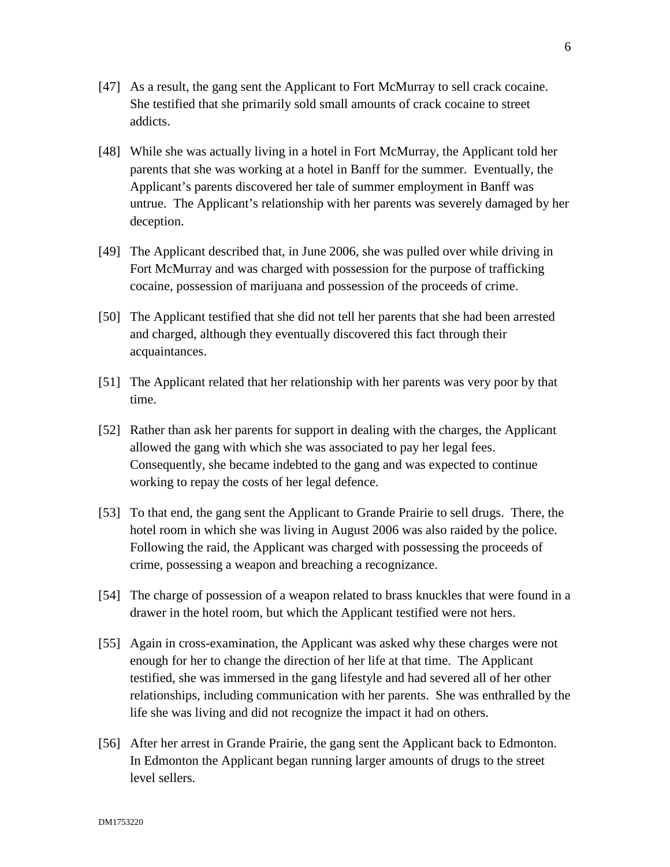- [47] As a result, the gang sent the Applicant to Fort McMurray to sell crack cocaine. She testified that she primarily sold small amounts of crack cocaine to street addicts.
- [48] While she was actually living in a hotel in Fort McMurray, the Applicant told her parents that she was working at a hotel in Banff for the summer. Eventually, the Applicant's parents discovered her tale of summer employment in Banff was untrue. The Applicant's relationship with her parents was severely damaged by her deception.
- [49] The Applicant described that, in June 2006, she was pulled over while driving in Fort McMurray and was charged with possession for the purpose of trafficking cocaine, possession of marijuana and possession of the proceeds of crime.
- [50] The Applicant testified that she did not tell her parents that she had been arrested and charged, although they eventually discovered this fact through their acquaintances.
- [51] The Applicant related that her relationship with her parents was very poor by that time.
- [52] Rather than ask her parents for support in dealing with the charges, the Applicant allowed the gang with which she was associated to pay her legal fees. Consequently, she became indebted to the gang and was expected to continue working to repay the costs of her legal defence.
- [53] To that end, the gang sent the Applicant to Grande Prairie to sell drugs. There, the hotel room in which she was living in August 2006 was also raided by the police. Following the raid, the Applicant was charged with possessing the proceeds of crime, possessing a weapon and breaching a recognizance.
- [54] The charge of possession of a weapon related to brass knuckles that were found in a drawer in the hotel room, but which the Applicant testified were not hers.
- [55] Again in cross-examination, the Applicant was asked why these charges were not enough for her to change the direction of her life at that time. The Applicant testified, she was immersed in the gang lifestyle and had severed all of her other relationships, including communication with her parents. She was enthralled by the life she was living and did not recognize the impact it had on others.
- [56] After her arrest in Grande Prairie, the gang sent the Applicant back to Edmonton. In Edmonton the Applicant began running larger amounts of drugs to the street level sellers.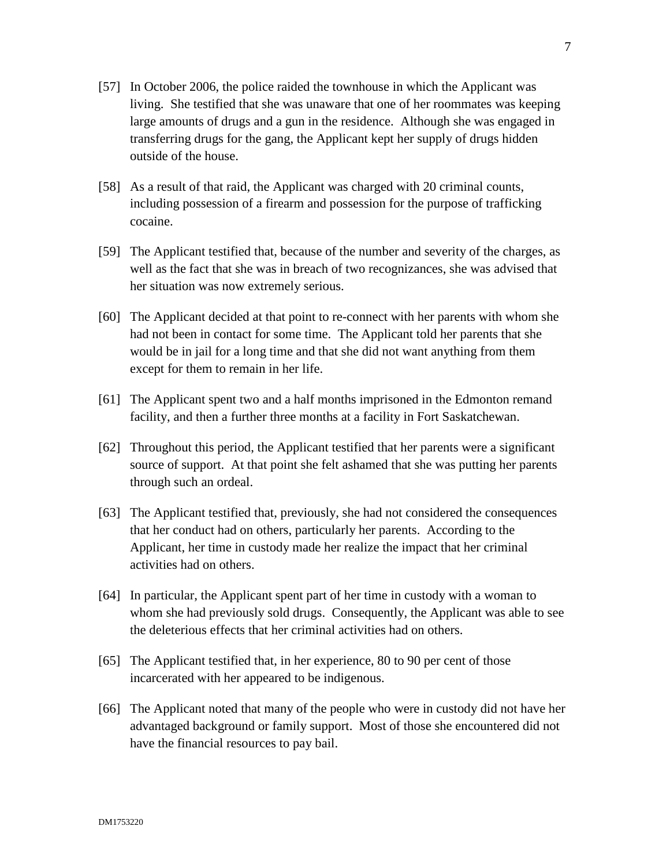- [57] In October 2006, the police raided the townhouse in which the Applicant was living. She testified that she was unaware that one of her roommates was keeping large amounts of drugs and a gun in the residence. Although she was engaged in transferring drugs for the gang, the Applicant kept her supply of drugs hidden outside of the house.
- [58] As a result of that raid, the Applicant was charged with 20 criminal counts, including possession of a firearm and possession for the purpose of trafficking cocaine.
- [59] The Applicant testified that, because of the number and severity of the charges, as well as the fact that she was in breach of two recognizances, she was advised that her situation was now extremely serious.
- [60] The Applicant decided at that point to re-connect with her parents with whom she had not been in contact for some time. The Applicant told her parents that she would be in jail for a long time and that she did not want anything from them except for them to remain in her life.
- [61] The Applicant spent two and a half months imprisoned in the Edmonton remand facility, and then a further three months at a facility in Fort Saskatchewan.
- [62] Throughout this period, the Applicant testified that her parents were a significant source of support. At that point she felt ashamed that she was putting her parents through such an ordeal.
- [63] The Applicant testified that, previously, she had not considered the consequences that her conduct had on others, particularly her parents. According to the Applicant, her time in custody made her realize the impact that her criminal activities had on others.
- [64] In particular, the Applicant spent part of her time in custody with a woman to whom she had previously sold drugs. Consequently, the Applicant was able to see the deleterious effects that her criminal activities had on others.
- [65] The Applicant testified that, in her experience, 80 to 90 per cent of those incarcerated with her appeared to be indigenous.
- [66] The Applicant noted that many of the people who were in custody did not have her advantaged background or family support. Most of those she encountered did not have the financial resources to pay bail.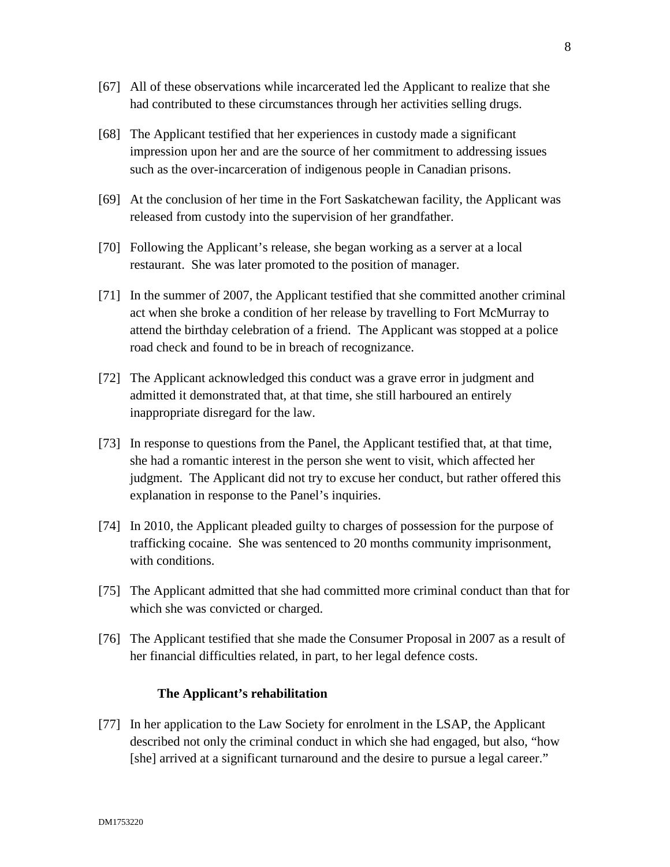- [67] All of these observations while incarcerated led the Applicant to realize that she had contributed to these circumstances through her activities selling drugs.
- [68] The Applicant testified that her experiences in custody made a significant impression upon her and are the source of her commitment to addressing issues such as the over-incarceration of indigenous people in Canadian prisons.
- [69] At the conclusion of her time in the Fort Saskatchewan facility, the Applicant was released from custody into the supervision of her grandfather.
- [70] Following the Applicant's release, she began working as a server at a local restaurant. She was later promoted to the position of manager.
- [71] In the summer of 2007, the Applicant testified that she committed another criminal act when she broke a condition of her release by travelling to Fort McMurray to attend the birthday celebration of a friend. The Applicant was stopped at a police road check and found to be in breach of recognizance.
- [72] The Applicant acknowledged this conduct was a grave error in judgment and admitted it demonstrated that, at that time, she still harboured an entirely inappropriate disregard for the law.
- [73] In response to questions from the Panel, the Applicant testified that, at that time, she had a romantic interest in the person she went to visit, which affected her judgment. The Applicant did not try to excuse her conduct, but rather offered this explanation in response to the Panel's inquiries.
- [74] In 2010, the Applicant pleaded guilty to charges of possession for the purpose of trafficking cocaine. She was sentenced to 20 months community imprisonment, with conditions.
- [75] The Applicant admitted that she had committed more criminal conduct than that for which she was convicted or charged.
- [76] The Applicant testified that she made the Consumer Proposal in 2007 as a result of her financial difficulties related, in part, to her legal defence costs.

#### **The Applicant's rehabilitation**

[77] In her application to the Law Society for enrolment in the LSAP, the Applicant described not only the criminal conduct in which she had engaged, but also, "how [she] arrived at a significant turnaround and the desire to pursue a legal career."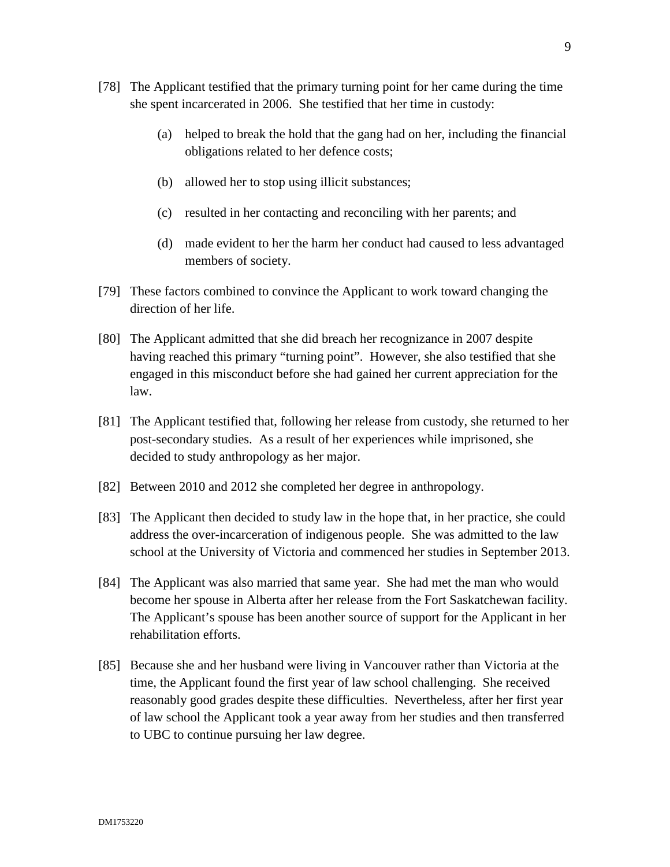- [78] The Applicant testified that the primary turning point for her came during the time she spent incarcerated in 2006. She testified that her time in custody:
	- (a) helped to break the hold that the gang had on her, including the financial obligations related to her defence costs;
	- (b) allowed her to stop using illicit substances;
	- (c) resulted in her contacting and reconciling with her parents; and
	- (d) made evident to her the harm her conduct had caused to less advantaged members of society.
- [79] These factors combined to convince the Applicant to work toward changing the direction of her life.
- [80] The Applicant admitted that she did breach her recognizance in 2007 despite having reached this primary "turning point". However, she also testified that she engaged in this misconduct before she had gained her current appreciation for the law.
- [81] The Applicant testified that, following her release from custody, she returned to her post-secondary studies. As a result of her experiences while imprisoned, she decided to study anthropology as her major.
- [82] Between 2010 and 2012 she completed her degree in anthropology.
- [83] The Applicant then decided to study law in the hope that, in her practice, she could address the over-incarceration of indigenous people. She was admitted to the law school at the University of Victoria and commenced her studies in September 2013.
- [84] The Applicant was also married that same year. She had met the man who would become her spouse in Alberta after her release from the Fort Saskatchewan facility. The Applicant's spouse has been another source of support for the Applicant in her rehabilitation efforts.
- [85] Because she and her husband were living in Vancouver rather than Victoria at the time, the Applicant found the first year of law school challenging. She received reasonably good grades despite these difficulties. Nevertheless, after her first year of law school the Applicant took a year away from her studies and then transferred to UBC to continue pursuing her law degree.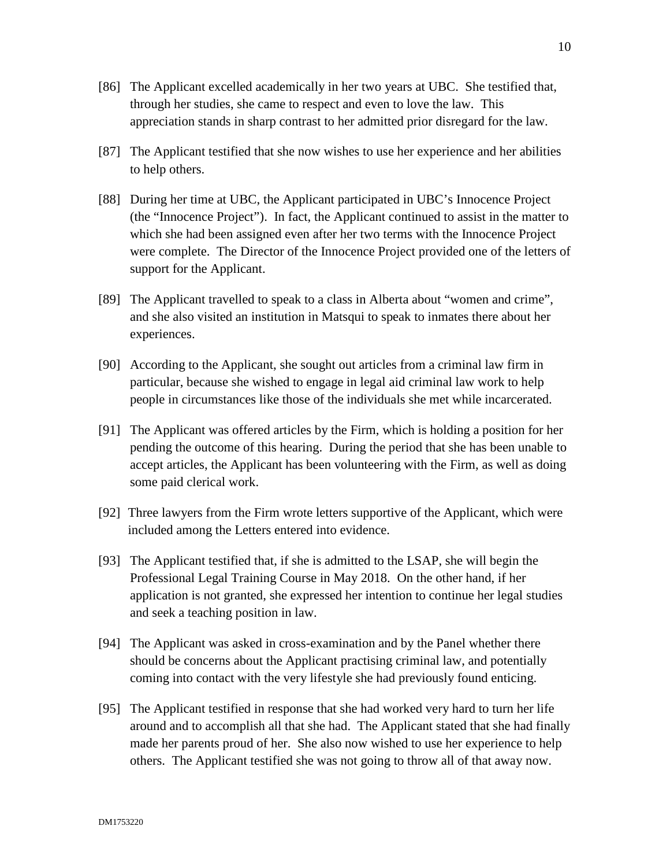- [86] The Applicant excelled academically in her two years at UBC. She testified that, through her studies, she came to respect and even to love the law. This appreciation stands in sharp contrast to her admitted prior disregard for the law.
- [87] The Applicant testified that she now wishes to use her experience and her abilities to help others.
- [88] During her time at UBC, the Applicant participated in UBC's Innocence Project (the "Innocence Project"). In fact, the Applicant continued to assist in the matter to which she had been assigned even after her two terms with the Innocence Project were complete. The Director of the Innocence Project provided one of the letters of support for the Applicant.
- [89] The Applicant travelled to speak to a class in Alberta about "women and crime", and she also visited an institution in Matsqui to speak to inmates there about her experiences.
- [90] According to the Applicant, she sought out articles from a criminal law firm in particular, because she wished to engage in legal aid criminal law work to help people in circumstances like those of the individuals she met while incarcerated.
- [91] The Applicant was offered articles by the Firm, which is holding a position for her pending the outcome of this hearing. During the period that she has been unable to accept articles, the Applicant has been volunteering with the Firm, as well as doing some paid clerical work.
- [92] Three lawyers from the Firm wrote letters supportive of the Applicant, which were included among the Letters entered into evidence.
- [93] The Applicant testified that, if she is admitted to the LSAP, she will begin the Professional Legal Training Course in May 2018. On the other hand, if her application is not granted, she expressed her intention to continue her legal studies and seek a teaching position in law.
- [94] The Applicant was asked in cross-examination and by the Panel whether there should be concerns about the Applicant practising criminal law, and potentially coming into contact with the very lifestyle she had previously found enticing.
- [95] The Applicant testified in response that she had worked very hard to turn her life around and to accomplish all that she had. The Applicant stated that she had finally made her parents proud of her. She also now wished to use her experience to help others. The Applicant testified she was not going to throw all of that away now.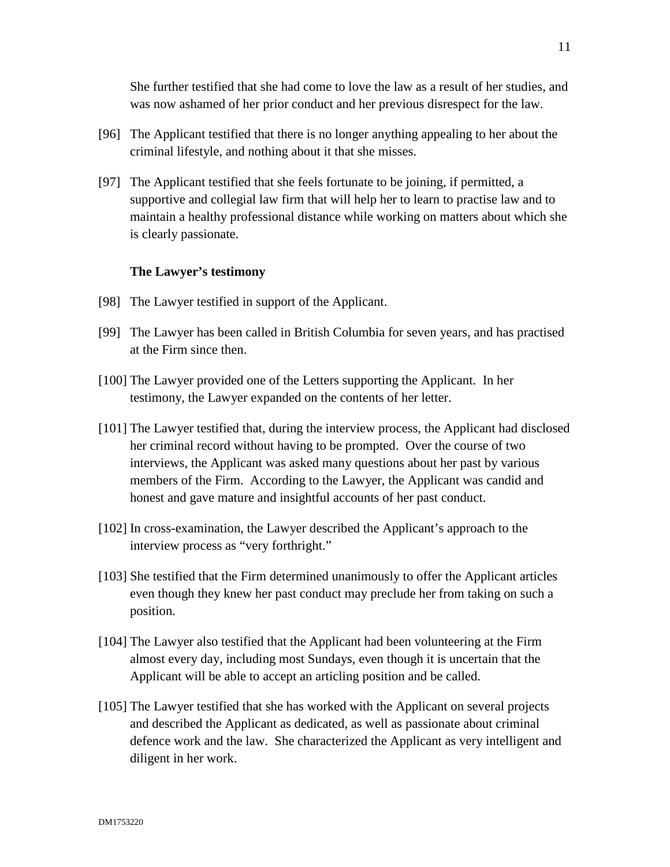She further testified that she had come to love the law as a result of her studies, and was now ashamed of her prior conduct and her previous disrespect for the law.

- [96] The Applicant testified that there is no longer anything appealing to her about the criminal lifestyle, and nothing about it that she misses.
- [97] The Applicant testified that she feels fortunate to be joining, if permitted, a supportive and collegial law firm that will help her to learn to practise law and to maintain a healthy professional distance while working on matters about which she is clearly passionate.

#### **The Lawyer's testimony**

- [98] The Lawyer testified in support of the Applicant.
- [99] The Lawyer has been called in British Columbia for seven years, and has practised at the Firm since then.
- [100] The Lawyer provided one of the Letters supporting the Applicant. In her testimony, the Lawyer expanded on the contents of her letter.
- [101] The Lawyer testified that, during the interview process, the Applicant had disclosed her criminal record without having to be prompted. Over the course of two interviews, the Applicant was asked many questions about her past by various members of the Firm. According to the Lawyer, the Applicant was candid and honest and gave mature and insightful accounts of her past conduct.
- [102] In cross-examination, the Lawyer described the Applicant's approach to the interview process as "very forthright."
- [103] She testified that the Firm determined unanimously to offer the Applicant articles even though they knew her past conduct may preclude her from taking on such a position.
- [104] The Lawyer also testified that the Applicant had been volunteering at the Firm almost every day, including most Sundays, even though it is uncertain that the Applicant will be able to accept an articling position and be called.
- [105] The Lawyer testified that she has worked with the Applicant on several projects and described the Applicant as dedicated, as well as passionate about criminal defence work and the law. She characterized the Applicant as very intelligent and diligent in her work.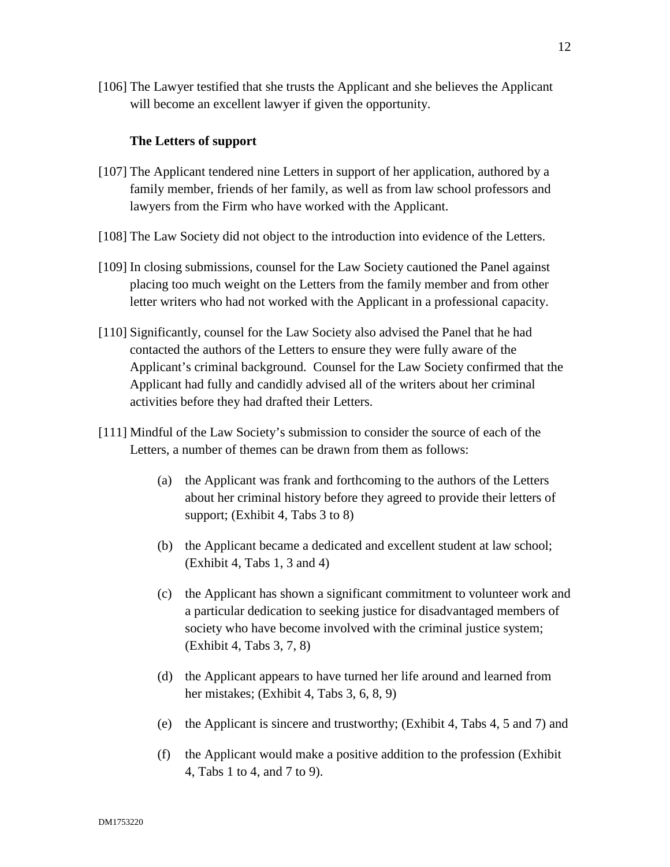[106] The Lawyer testified that she trusts the Applicant and she believes the Applicant will become an excellent lawyer if given the opportunity.

### **The Letters of support**

- [107] The Applicant tendered nine Letters in support of her application, authored by a family member, friends of her family, as well as from law school professors and lawyers from the Firm who have worked with the Applicant.
- [108] The Law Society did not object to the introduction into evidence of the Letters.
- [109] In closing submissions, counsel for the Law Society cautioned the Panel against placing too much weight on the Letters from the family member and from other letter writers who had not worked with the Applicant in a professional capacity.
- [110] Significantly, counsel for the Law Society also advised the Panel that he had contacted the authors of the Letters to ensure they were fully aware of the Applicant's criminal background. Counsel for the Law Society confirmed that the Applicant had fully and candidly advised all of the writers about her criminal activities before they had drafted their Letters.
- [111] Mindful of the Law Society's submission to consider the source of each of the Letters, a number of themes can be drawn from them as follows:
	- (a) the Applicant was frank and forthcoming to the authors of the Letters about her criminal history before they agreed to provide their letters of support; (Exhibit 4, Tabs 3 to 8)
	- (b) the Applicant became a dedicated and excellent student at law school; (Exhibit 4, Tabs 1, 3 and 4)
	- (c) the Applicant has shown a significant commitment to volunteer work and a particular dedication to seeking justice for disadvantaged members of society who have become involved with the criminal justice system; (Exhibit 4, Tabs 3, 7, 8)
	- (d) the Applicant appears to have turned her life around and learned from her mistakes; (Exhibit 4, Tabs 3, 6, 8, 9)
	- (e) the Applicant is sincere and trustworthy; (Exhibit 4, Tabs 4, 5 and 7) and
	- (f) the Applicant would make a positive addition to the profession (Exhibit 4, Tabs 1 to 4, and 7 to 9).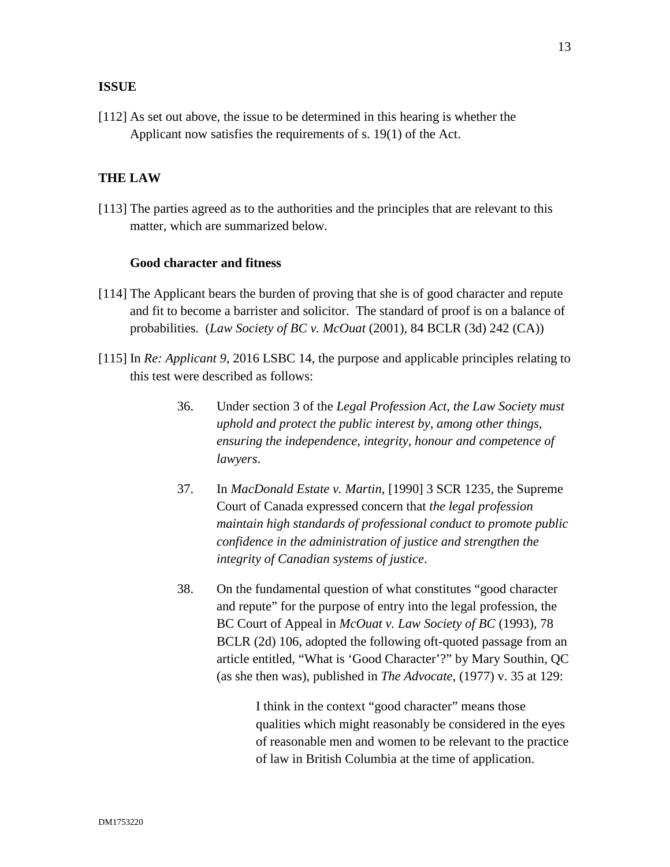### **ISSUE**

[112] As set out above, the issue to be determined in this hearing is whether the Applicant now satisfies the requirements of s. 19(1) of the Act.

### **THE LAW**

[113] The parties agreed as to the authorities and the principles that are relevant to this matter, which are summarized below.

#### **Good character and fitness**

- [114] The Applicant bears the burden of proving that she is of good character and repute and fit to become a barrister and solicitor. The standard of proof is on a balance of probabilities. (*Law Society of BC v. McOuat* (2001), 84 BCLR (3d) 242 (CA))
- [115] In *Re: Applicant 9*, 2016 LSBC 14, the purpose and applicable principles relating to this test were described as follows:
	- 36. Under section 3 of the *Legal Profession Act*, *the Law Society must uphold and protect the public interest by, among other things, ensuring the independence, integrity, honour and competence of lawyers*.
	- 37. In *MacDonald Estate v. Martin*, [1990] 3 SCR 1235, the Supreme Court of Canada expressed concern that *the legal profession maintain high standards of professional conduct to promote public confidence in the administration of justice and strengthen the integrity of Canadian systems of justice*.
	- 38. On the fundamental question of what constitutes "good character and repute" for the purpose of entry into the legal profession, the BC Court of Appeal in *McOuat v. Law Society of BC* (1993), 78 BCLR (2d) 106, adopted the following oft-quoted passage from an article entitled, "What is 'Good Character'?" by Mary Southin, QC (as she then was), published in *The Advocate*, (1977) v. 35 at 129:

 I think in the context "good character" means those qualities which might reasonably be considered in the eyes of reasonable men and women to be relevant to the practice of law in British Columbia at the time of application.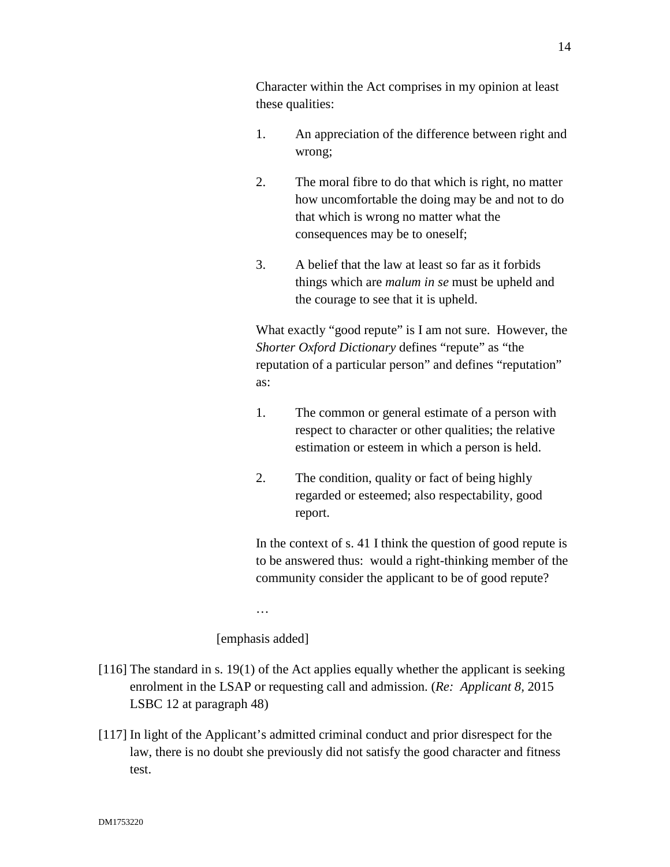Character within the Act comprises in my opinion at least these qualities:

- 1. An appreciation of the difference between right and wrong;
- 2. The moral fibre to do that which is right, no matter how uncomfortable the doing may be and not to do that which is wrong no matter what the consequences may be to oneself;
- 3. A belief that the law at least so far as it forbids things which are *malum in se* must be upheld and the courage to see that it is upheld.

What exactly "good repute" is I am not sure. However, the *Shorter Oxford Dictionary* defines "repute" as "the reputation of a particular person" and defines "reputation" as:

- 1. The common or general estimate of a person with respect to character or other qualities; the relative estimation or esteem in which a person is held.
- 2. The condition, quality or fact of being highly regarded or esteemed; also respectability, good report.

In the context of s. 41 I think the question of good repute is to be answered thus: would a right-thinking member of the community consider the applicant to be of good repute?

…

[emphasis added]

- [116] The standard in s. 19(1) of the Act applies equally whether the applicant is seeking enrolment in the LSAP or requesting call and admission. (*Re: Applicant 8,* 2015 LSBC 12 at paragraph 48)
- [117] In light of the Applicant's admitted criminal conduct and prior disrespect for the law, there is no doubt she previously did not satisfy the good character and fitness test.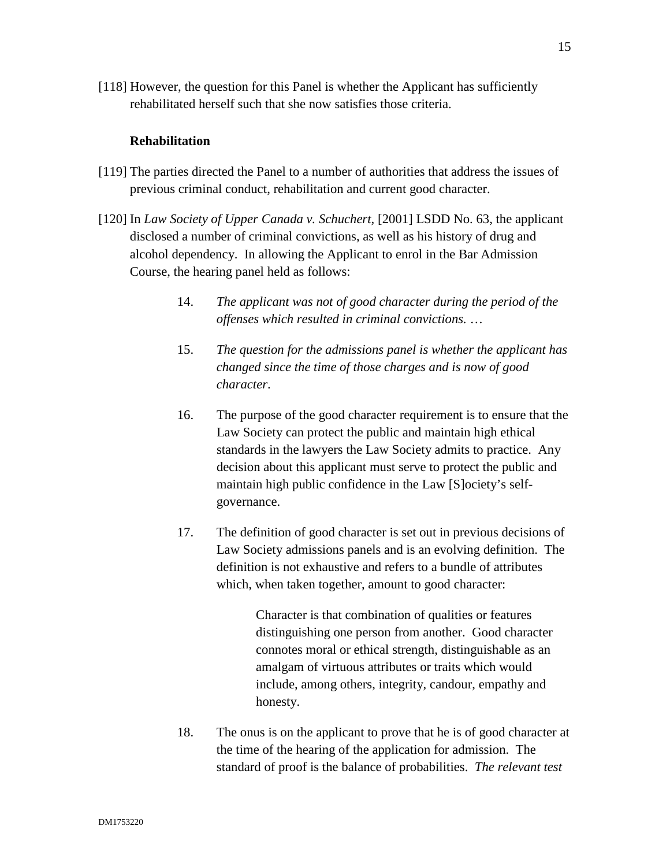[118] However, the question for this Panel is whether the Applicant has sufficiently rehabilitated herself such that she now satisfies those criteria.

# **Rehabilitation**

- [119] The parties directed the Panel to a number of authorities that address the issues of previous criminal conduct, rehabilitation and current good character.
- [120] In *Law Society of Upper Canada v. Schuchert*, [2001] LSDD No. 63, the applicant disclosed a number of criminal convictions, as well as his history of drug and alcohol dependency. In allowing the Applicant to enrol in the Bar Admission Course, the hearing panel held as follows:
	- 14. *The applicant was not of good character during the period of the offenses which resulted in criminal convictions.* …
	- 15. *The question for the admissions panel is whether the applicant has changed since the time of those charges and is now of good character*.
	- 16. The purpose of the good character requirement is to ensure that the Law Society can protect the public and maintain high ethical standards in the lawyers the Law Society admits to practice. Any decision about this applicant must serve to protect the public and maintain high public confidence in the Law [S]ociety's selfgovernance.
	- 17. The definition of good character is set out in previous decisions of Law Society admissions panels and is an evolving definition. The definition is not exhaustive and refers to a bundle of attributes which, when taken together, amount to good character:

Character is that combination of qualities or features distinguishing one person from another. Good character connotes moral or ethical strength, distinguishable as an amalgam of virtuous attributes or traits which would include, among others, integrity, candour, empathy and honesty.

18. The onus is on the applicant to prove that he is of good character at the time of the hearing of the application for admission. The standard of proof is the balance of probabilities. *The relevant test*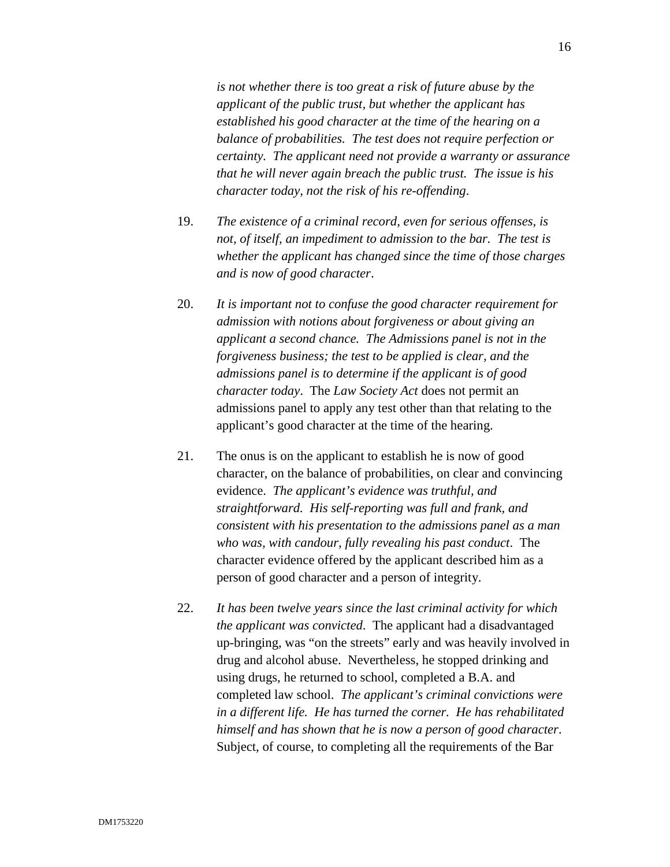*is not whether there is too great a risk of future abuse by the applicant of the public trust, but whether the applicant has established his good character at the time of the hearing on a balance of probabilities. The test does not require perfection or certainty. The applicant need not provide a warranty or assurance that he will never again breach the public trust. The issue is his character today, not the risk of his re-offending*.

- 19. *The existence of a criminal record, even for serious offenses, is not, of itself, an impediment to admission to the bar. The test is whether the applicant has changed since the time of those charges and is now of good character*.
- 20. *It is important not to confuse the good character requirement for admission with notions about forgiveness or about giving an applicant a second chance. The Admissions panel is not in the forgiveness business; the test to be applied is clear, and the admissions panel is to determine if the applicant is of good character today*. The *Law Society Act* does not permit an admissions panel to apply any test other than that relating to the applicant's good character at the time of the hearing.
- 21. The onus is on the applicant to establish he is now of good character, on the balance of probabilities, on clear and convincing evidence. *The applicant's evidence was truthful, and straightforward. His self-reporting was full and frank, and consistent with his presentation to the admissions panel as a man who was, with candour, fully revealing his past conduct*. The character evidence offered by the applicant described him as a person of good character and a person of integrity.
- 22. *It has been twelve years since the last criminal activity for which the applicant was convicted*. The applicant had a disadvantaged up-bringing, was "on the streets" early and was heavily involved in drug and alcohol abuse. Nevertheless, he stopped drinking and using drugs, he returned to school, completed a B.A. and completed law school. *The applicant's criminal convictions were in a different life. He has turned the corner. He has rehabilitated himself and has shown that he is now a person of good character*. Subject, of course, to completing all the requirements of the Bar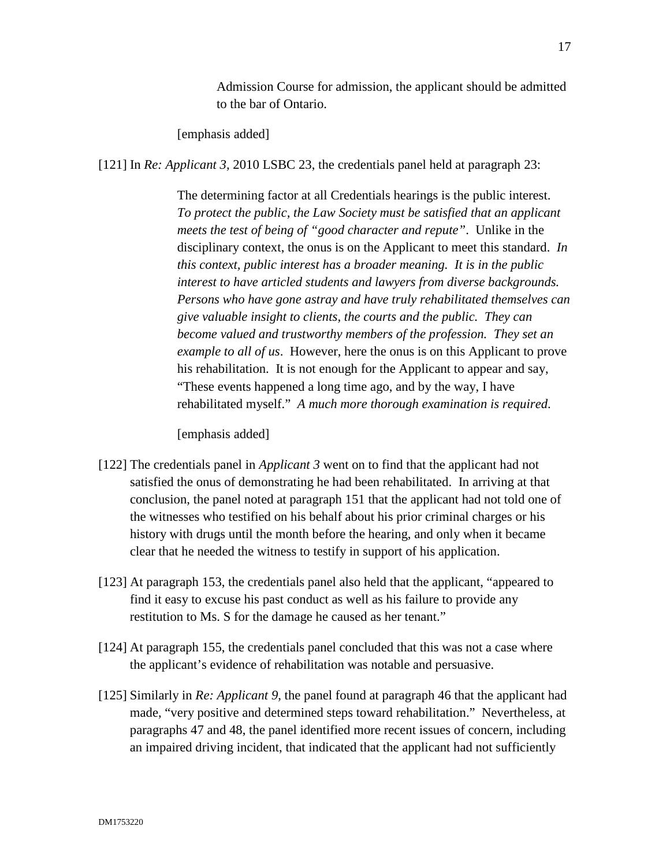Admission Course for admission, the applicant should be admitted to the bar of Ontario.

[emphasis added]

[121] In *Re: Applicant 3,* 2010 LSBC 23, the credentials panel held at paragraph 23:

The determining factor at all Credentials hearings is the public interest. *To protect the public, the Law Society must be satisfied that an applicant meets the test of being of "good character and repute"*. Unlike in the disciplinary context, the onus is on the Applicant to meet this standard. *In this context, public interest has a broader meaning. It is in the public interest to have articled students and lawyers from diverse backgrounds. Persons who have gone astray and have truly rehabilitated themselves can give valuable insight to clients, the courts and the public. They can become valued and trustworthy members of the profession. They set an example to all of us*. However, here the onus is on this Applicant to prove his rehabilitation. It is not enough for the Applicant to appear and say, "These events happened a long time ago, and by the way, I have rehabilitated myself." *A much more thorough examination is required*.

[emphasis added]

- [122] The credentials panel in *Applicant 3* went on to find that the applicant had not satisfied the onus of demonstrating he had been rehabilitated. In arriving at that conclusion, the panel noted at paragraph 151 that the applicant had not told one of the witnesses who testified on his behalf about his prior criminal charges or his history with drugs until the month before the hearing, and only when it became clear that he needed the witness to testify in support of his application.
- [123] At paragraph 153, the credentials panel also held that the applicant, "appeared to find it easy to excuse his past conduct as well as his failure to provide any restitution to Ms. S for the damage he caused as her tenant."
- [124] At paragraph 155, the credentials panel concluded that this was not a case where the applicant's evidence of rehabilitation was notable and persuasive.
- [125] Similarly in *Re: Applicant 9*, the panel found at paragraph 46 that the applicant had made, "very positive and determined steps toward rehabilitation." Nevertheless, at paragraphs 47 and 48, the panel identified more recent issues of concern, including an impaired driving incident, that indicated that the applicant had not sufficiently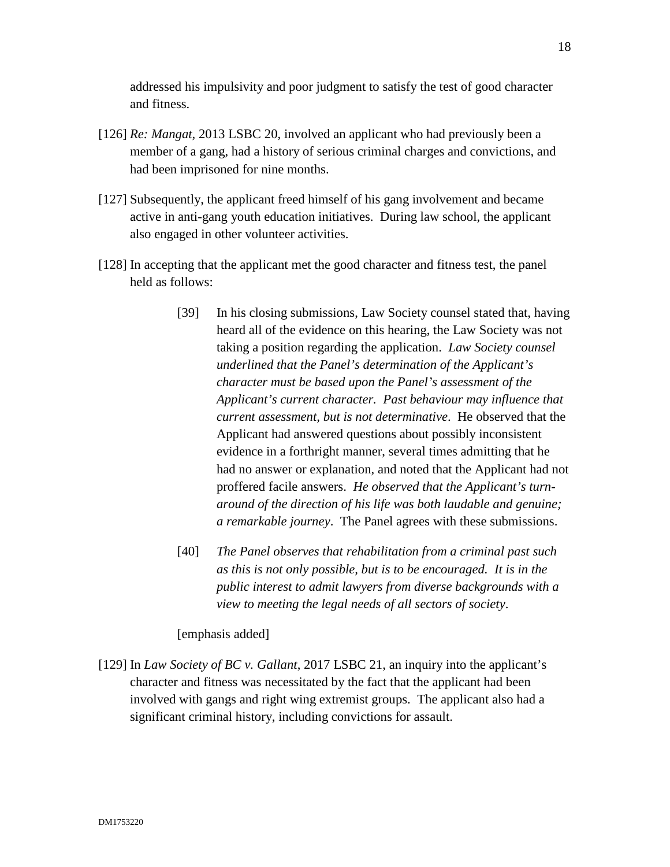addressed his impulsivity and poor judgment to satisfy the test of good character and fitness.

- [126] *Re: Mangat*, 2013 LSBC 20, involved an applicant who had previously been a member of a gang, had a history of serious criminal charges and convictions, and had been imprisoned for nine months.
- [127] Subsequently, the applicant freed himself of his gang involvement and became active in anti-gang youth education initiatives. During law school, the applicant also engaged in other volunteer activities.
- [128] In accepting that the applicant met the good character and fitness test, the panel held as follows:
	- [39] In his closing submissions, Law Society counsel stated that, having heard all of the evidence on this hearing, the Law Society was not taking a position regarding the application. *Law Society counsel underlined that the Panel's determination of the Applicant's character must be based upon the Panel's assessment of the Applicant's current character. Past behaviour may influence that current assessment, but is not determinative*. He observed that the Applicant had answered questions about possibly inconsistent evidence in a forthright manner, several times admitting that he had no answer or explanation, and noted that the Applicant had not proffered facile answers. *He observed that the Applicant's turnaround of the direction of his life was both laudable and genuine; a remarkable journey*. The Panel agrees with these submissions.
	- [40] *The Panel observes that rehabilitation from a criminal past such as this is not only possible, but is to be encouraged. It is in the public interest to admit lawyers from diverse backgrounds with a view to meeting the legal needs of all sectors of society*.

# [emphasis added]

[129] In *Law Society of BC v. Gallant*, 2017 LSBC 21, an inquiry into the applicant's character and fitness was necessitated by the fact that the applicant had been involved with gangs and right wing extremist groups. The applicant also had a significant criminal history, including convictions for assault.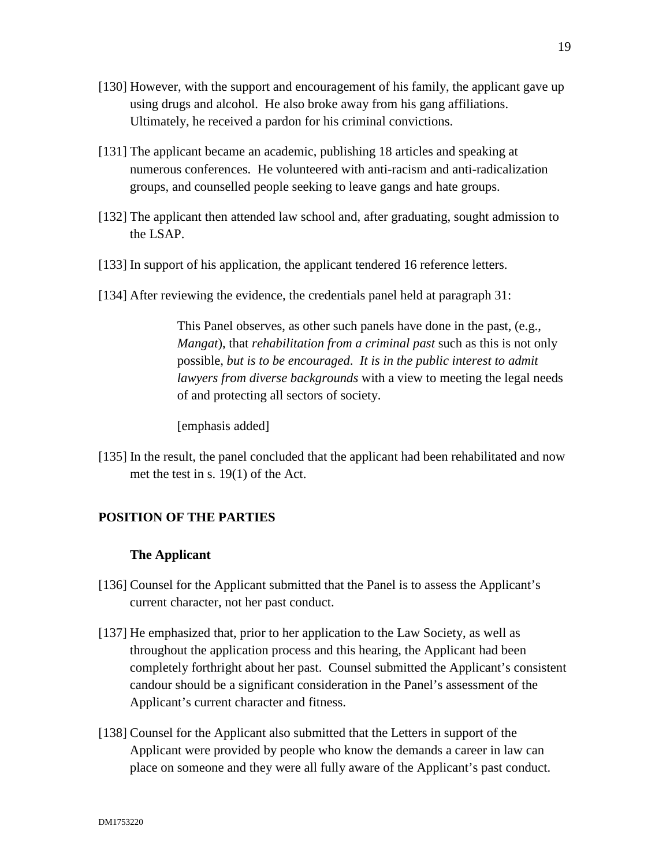- [130] However, with the support and encouragement of his family, the applicant gave up using drugs and alcohol. He also broke away from his gang affiliations. Ultimately, he received a pardon for his criminal convictions.
- [131] The applicant became an academic, publishing 18 articles and speaking at numerous conferences. He volunteered with anti-racism and anti-radicalization groups, and counselled people seeking to leave gangs and hate groups.
- [132] The applicant then attended law school and, after graduating, sought admission to the LSAP.
- [133] In support of his application, the applicant tendered 16 reference letters.
- [134] After reviewing the evidence, the credentials panel held at paragraph 31:

This Panel observes, as other such panels have done in the past, (e.g., *Mangat*), that *rehabilitation from a criminal past* such as this is not only possible, *but is to be encouraged*. *It is in the public interest to admit lawyers from diverse backgrounds* with a view to meeting the legal needs of and protecting all sectors of society.

[emphasis added]

[135] In the result, the panel concluded that the applicant had been rehabilitated and now met the test in s. 19(1) of the Act.

# **POSITION OF THE PARTIES**

#### **The Applicant**

- [136] Counsel for the Applicant submitted that the Panel is to assess the Applicant's current character, not her past conduct.
- [137] He emphasized that, prior to her application to the Law Society, as well as throughout the application process and this hearing, the Applicant had been completely forthright about her past. Counsel submitted the Applicant's consistent candour should be a significant consideration in the Panel's assessment of the Applicant's current character and fitness.
- [138] Counsel for the Applicant also submitted that the Letters in support of the Applicant were provided by people who know the demands a career in law can place on someone and they were all fully aware of the Applicant's past conduct.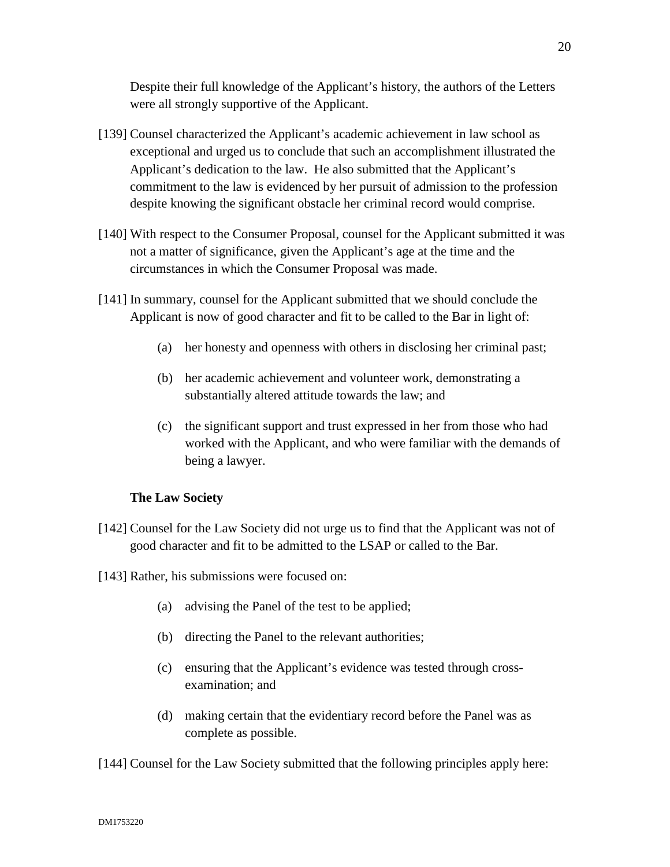Despite their full knowledge of the Applicant's history, the authors of the Letters were all strongly supportive of the Applicant.

- [139] Counsel characterized the Applicant's academic achievement in law school as exceptional and urged us to conclude that such an accomplishment illustrated the Applicant's dedication to the law. He also submitted that the Applicant's commitment to the law is evidenced by her pursuit of admission to the profession despite knowing the significant obstacle her criminal record would comprise.
- [140] With respect to the Consumer Proposal, counsel for the Applicant submitted it was not a matter of significance, given the Applicant's age at the time and the circumstances in which the Consumer Proposal was made.
- [141] In summary, counsel for the Applicant submitted that we should conclude the Applicant is now of good character and fit to be called to the Bar in light of:
	- (a) her honesty and openness with others in disclosing her criminal past;
	- (b) her academic achievement and volunteer work, demonstrating a substantially altered attitude towards the law; and
	- (c) the significant support and trust expressed in her from those who had worked with the Applicant, and who were familiar with the demands of being a lawyer.

# **The Law Society**

- [142] Counsel for the Law Society did not urge us to find that the Applicant was not of good character and fit to be admitted to the LSAP or called to the Bar.
- [143] Rather, his submissions were focused on:
	- (a) advising the Panel of the test to be applied;
	- (b) directing the Panel to the relevant authorities;
	- (c) ensuring that the Applicant's evidence was tested through crossexamination; and
	- (d) making certain that the evidentiary record before the Panel was as complete as possible.

[144] Counsel for the Law Society submitted that the following principles apply here: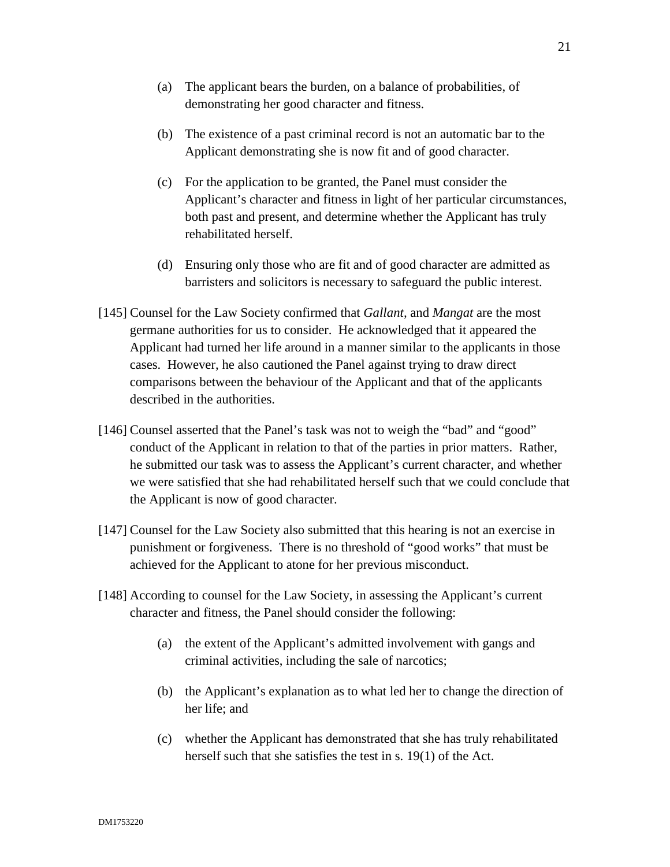- (a) The applicant bears the burden, on a balance of probabilities, of demonstrating her good character and fitness.
- (b) The existence of a past criminal record is not an automatic bar to the Applicant demonstrating she is now fit and of good character.
- (c) For the application to be granted, the Panel must consider the Applicant's character and fitness in light of her particular circumstances, both past and present, and determine whether the Applicant has truly rehabilitated herself.
- (d) Ensuring only those who are fit and of good character are admitted as barristers and solicitors is necessary to safeguard the public interest.
- [145] Counsel for the Law Society confirmed that *Gallant,* and *Mangat* are the most germane authorities for us to consider. He acknowledged that it appeared the Applicant had turned her life around in a manner similar to the applicants in those cases. However, he also cautioned the Panel against trying to draw direct comparisons between the behaviour of the Applicant and that of the applicants described in the authorities.
- [146] Counsel asserted that the Panel's task was not to weigh the "bad" and "good" conduct of the Applicant in relation to that of the parties in prior matters. Rather, he submitted our task was to assess the Applicant's current character, and whether we were satisfied that she had rehabilitated herself such that we could conclude that the Applicant is now of good character.
- [147] Counsel for the Law Society also submitted that this hearing is not an exercise in punishment or forgiveness. There is no threshold of "good works" that must be achieved for the Applicant to atone for her previous misconduct.
- [148] According to counsel for the Law Society, in assessing the Applicant's current character and fitness, the Panel should consider the following:
	- (a) the extent of the Applicant's admitted involvement with gangs and criminal activities, including the sale of narcotics;
	- (b) the Applicant's explanation as to what led her to change the direction of her life; and
	- (c) whether the Applicant has demonstrated that she has truly rehabilitated herself such that she satisfies the test in s. 19(1) of the Act.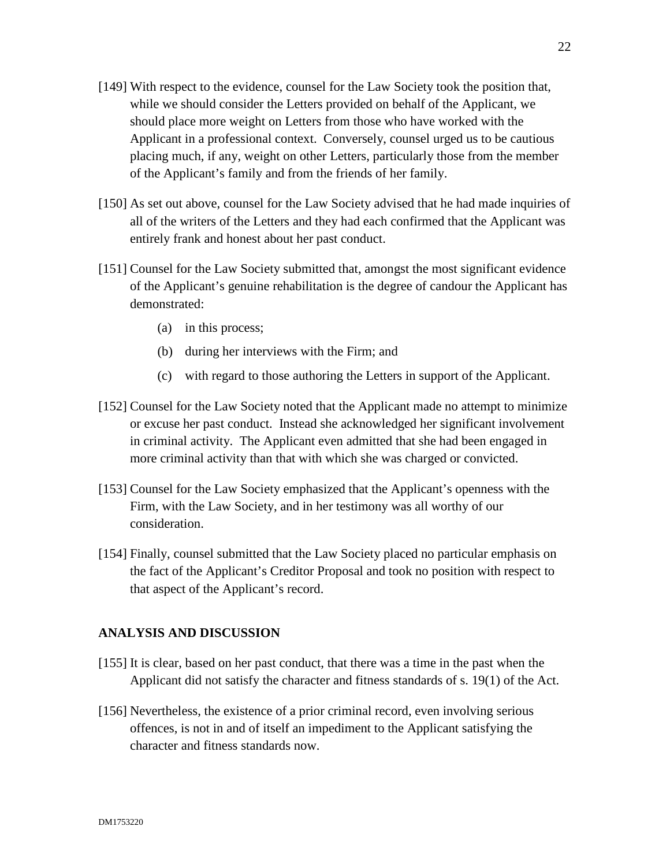- [149] With respect to the evidence, counsel for the Law Society took the position that, while we should consider the Letters provided on behalf of the Applicant, we should place more weight on Letters from those who have worked with the Applicant in a professional context. Conversely, counsel urged us to be cautious placing much, if any, weight on other Letters, particularly those from the member of the Applicant's family and from the friends of her family.
- [150] As set out above, counsel for the Law Society advised that he had made inquiries of all of the writers of the Letters and they had each confirmed that the Applicant was entirely frank and honest about her past conduct.
- [151] Counsel for the Law Society submitted that, amongst the most significant evidence of the Applicant's genuine rehabilitation is the degree of candour the Applicant has demonstrated:
	- (a) in this process;
	- (b) during her interviews with the Firm; and
	- (c) with regard to those authoring the Letters in support of the Applicant.
- [152] Counsel for the Law Society noted that the Applicant made no attempt to minimize or excuse her past conduct. Instead she acknowledged her significant involvement in criminal activity. The Applicant even admitted that she had been engaged in more criminal activity than that with which she was charged or convicted.
- [153] Counsel for the Law Society emphasized that the Applicant's openness with the Firm, with the Law Society, and in her testimony was all worthy of our consideration.
- [154] Finally, counsel submitted that the Law Society placed no particular emphasis on the fact of the Applicant's Creditor Proposal and took no position with respect to that aspect of the Applicant's record.

### **ANALYSIS AND DISCUSSION**

- [155] It is clear, based on her past conduct, that there was a time in the past when the Applicant did not satisfy the character and fitness standards of s. 19(1) of the Act.
- [156] Nevertheless, the existence of a prior criminal record, even involving serious offences, is not in and of itself an impediment to the Applicant satisfying the character and fitness standards now.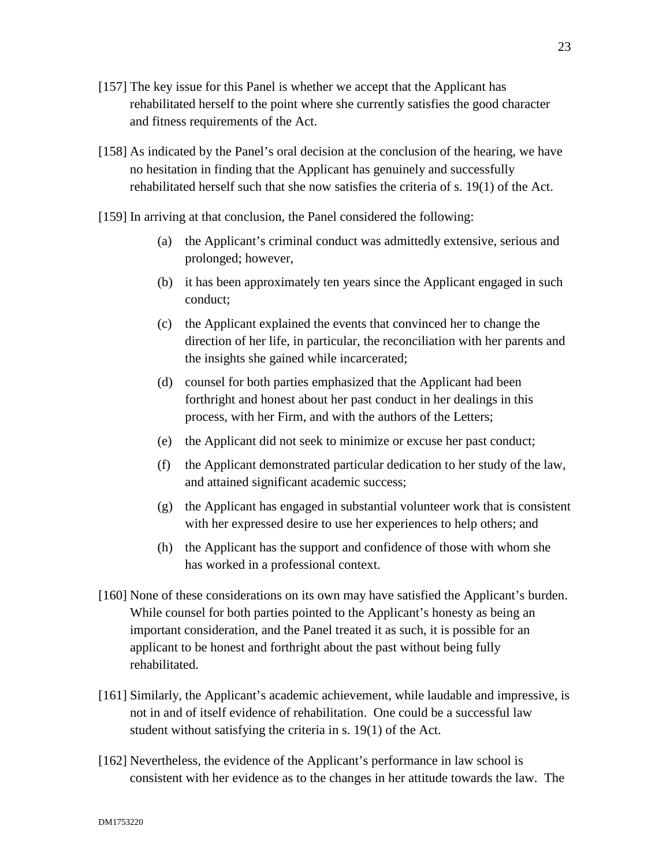- [157] The key issue for this Panel is whether we accept that the Applicant has rehabilitated herself to the point where she currently satisfies the good character and fitness requirements of the Act.
- [158] As indicated by the Panel's oral decision at the conclusion of the hearing, we have no hesitation in finding that the Applicant has genuinely and successfully rehabilitated herself such that she now satisfies the criteria of s. 19(1) of the Act.
- [159] In arriving at that conclusion, the Panel considered the following:
	- (a) the Applicant's criminal conduct was admittedly extensive, serious and prolonged; however,
	- (b) it has been approximately ten years since the Applicant engaged in such conduct;
	- (c) the Applicant explained the events that convinced her to change the direction of her life, in particular, the reconciliation with her parents and the insights she gained while incarcerated;
	- (d) counsel for both parties emphasized that the Applicant had been forthright and honest about her past conduct in her dealings in this process, with her Firm, and with the authors of the Letters;
	- (e) the Applicant did not seek to minimize or excuse her past conduct;
	- (f) the Applicant demonstrated particular dedication to her study of the law, and attained significant academic success;
	- $(g)$  the Applicant has engaged in substantial volunteer work that is consistent with her expressed desire to use her experiences to help others; and
	- (h) the Applicant has the support and confidence of those with whom she has worked in a professional context.
- [160] None of these considerations on its own may have satisfied the Applicant's burden. While counsel for both parties pointed to the Applicant's honesty as being an important consideration, and the Panel treated it as such, it is possible for an applicant to be honest and forthright about the past without being fully rehabilitated.
- [161] Similarly, the Applicant's academic achievement, while laudable and impressive, is not in and of itself evidence of rehabilitation. One could be a successful law student without satisfying the criteria in s. 19(1) of the Act.
- [162] Nevertheless, the evidence of the Applicant's performance in law school is consistent with her evidence as to the changes in her attitude towards the law. The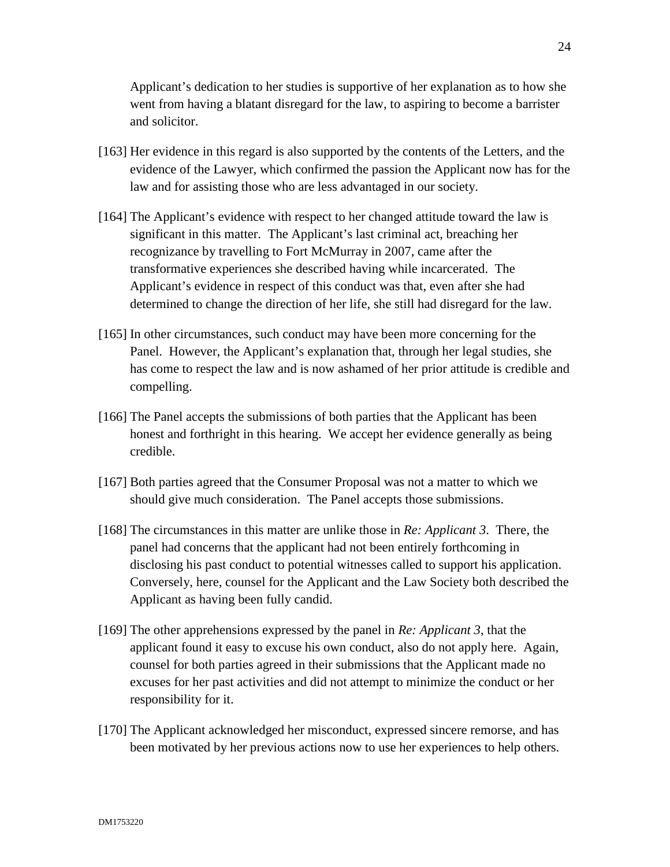Applicant's dedication to her studies is supportive of her explanation as to how she went from having a blatant disregard for the law, to aspiring to become a barrister and solicitor.

- [163] Her evidence in this regard is also supported by the contents of the Letters, and the evidence of the Lawyer, which confirmed the passion the Applicant now has for the law and for assisting those who are less advantaged in our society.
- [164] The Applicant's evidence with respect to her changed attitude toward the law is significant in this matter. The Applicant's last criminal act, breaching her recognizance by travelling to Fort McMurray in 2007, came after the transformative experiences she described having while incarcerated. The Applicant's evidence in respect of this conduct was that, even after she had determined to change the direction of her life, she still had disregard for the law.
- [165] In other circumstances, such conduct may have been more concerning for the Panel. However, the Applicant's explanation that, through her legal studies, she has come to respect the law and is now ashamed of her prior attitude is credible and compelling.
- [166] The Panel accepts the submissions of both parties that the Applicant has been honest and forthright in this hearing. We accept her evidence generally as being credible.
- [167] Both parties agreed that the Consumer Proposal was not a matter to which we should give much consideration. The Panel accepts those submissions.
- [168] The circumstances in this matter are unlike those in *Re: Applicant 3*. There, the panel had concerns that the applicant had not been entirely forthcoming in disclosing his past conduct to potential witnesses called to support his application. Conversely, here, counsel for the Applicant and the Law Society both described the Applicant as having been fully candid.
- [169] The other apprehensions expressed by the panel in *Re: Applicant 3*, that the applicant found it easy to excuse his own conduct, also do not apply here. Again, counsel for both parties agreed in their submissions that the Applicant made no excuses for her past activities and did not attempt to minimize the conduct or her responsibility for it.
- [170] The Applicant acknowledged her misconduct, expressed sincere remorse, and has been motivated by her previous actions now to use her experiences to help others.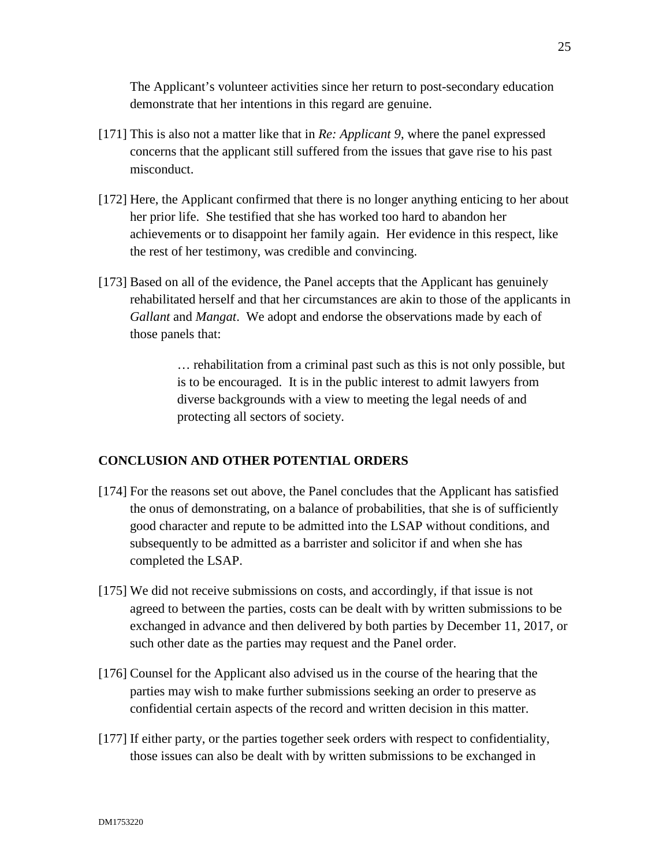The Applicant's volunteer activities since her return to post-secondary education demonstrate that her intentions in this regard are genuine.

- [171] This is also not a matter like that in *Re: Applicant 9*, where the panel expressed concerns that the applicant still suffered from the issues that gave rise to his past misconduct.
- [172] Here, the Applicant confirmed that there is no longer anything enticing to her about her prior life. She testified that she has worked too hard to abandon her achievements or to disappoint her family again. Her evidence in this respect, like the rest of her testimony, was credible and convincing.
- [173] Based on all of the evidence, the Panel accepts that the Applicant has genuinely rehabilitated herself and that her circumstances are akin to those of the applicants in *Gallant* and *Mangat*. We adopt and endorse the observations made by each of those panels that:

… rehabilitation from a criminal past such as this is not only possible, but is to be encouraged. It is in the public interest to admit lawyers from diverse backgrounds with a view to meeting the legal needs of and protecting all sectors of society.

# **CONCLUSION AND OTHER POTENTIAL ORDERS**

- [174] For the reasons set out above, the Panel concludes that the Applicant has satisfied the onus of demonstrating, on a balance of probabilities, that she is of sufficiently good character and repute to be admitted into the LSAP without conditions, and subsequently to be admitted as a barrister and solicitor if and when she has completed the LSAP.
- [175] We did not receive submissions on costs, and accordingly, if that issue is not agreed to between the parties, costs can be dealt with by written submissions to be exchanged in advance and then delivered by both parties by December 11, 2017, or such other date as the parties may request and the Panel order.
- [176] Counsel for the Applicant also advised us in the course of the hearing that the parties may wish to make further submissions seeking an order to preserve as confidential certain aspects of the record and written decision in this matter.
- [177] If either party, or the parties together seek orders with respect to confidentiality, those issues can also be dealt with by written submissions to be exchanged in